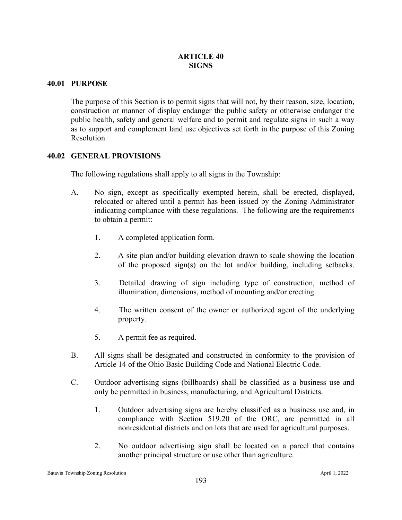### **40.01 PURPOSE**

The purpose of this Section is to permit signs that will not, by their reason, size, location, construction or manner of display endanger the public safety or otherwise endanger the public health, safety and general welfare and to permit and regulate signs in such a way as to support and complement land use objectives set forth in the purpose of this Zoning Resolution.

# **40.02 GENERAL PROVISIONS**

The following regulations shall apply to all signs in the Township:

- A. No sign, except as specifically exempted herein, shall be erected, displayed, relocated or altered until a permit has been issued by the Zoning Administrator indicating compliance with these regulations. The following are the requirements to obtain a permit:
	- 1. A completed application form.
	- 2. A site plan and/or building elevation drawn to scale showing the location of the proposed sign(s) on the lot and/or building, including setbacks.
	- 3. Detailed drawing of sign including type of construction, method of illumination, dimensions, method of mounting and/or erecting.
	- 4. The written consent of the owner or authorized agent of the underlying property.
	- 5. A permit fee as required.
- B. All signs shall be designated and constructed in conformity to the provision of Article 14 of the Ohio Basic Building Code and National Electric Code.
- C. Outdoor advertising signs (billboards) shall be classified as a business use and only be permitted in business, manufacturing, and Agricultural Districts.
	- 1. Outdoor advertising signs are hereby classified as a business use and, in compliance with Section 519.20 of the ORC, are permitted in all nonresidential districts and on lots that are used for agricultural purposes.
	- 2. No outdoor advertising sign shall be located on a parcel that contains another principal structure or use other than agriculture.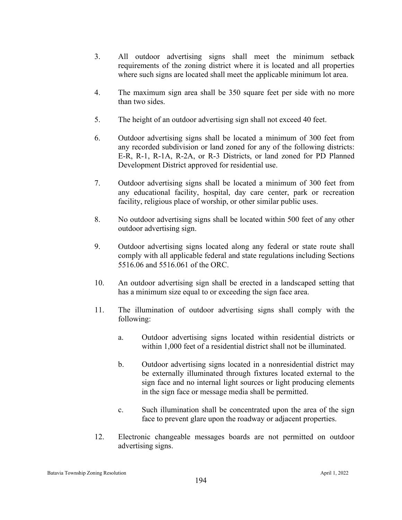- 3. All outdoor advertising signs shall meet the minimum setback requirements of the zoning district where it is located and all properties where such signs are located shall meet the applicable minimum lot area.
- 4. The maximum sign area shall be 350 square feet per side with no more than two sides.
- 5. The height of an outdoor advertising sign shall not exceed 40 feet.
- 6. Outdoor advertising signs shall be located a minimum of 300 feet from any recorded subdivision or land zoned for any of the following districts: E-R, R-1, R-1A, R-2A, or R-3 Districts, or land zoned for PD Planned Development District approved for residential use.
- 7. Outdoor advertising signs shall be located a minimum of 300 feet from any educational facility, hospital, day care center, park or recreation facility, religious place of worship, or other similar public uses.
- 8. No outdoor advertising signs shall be located within 500 feet of any other outdoor advertising sign.
- 9. Outdoor advertising signs located along any federal or state route shall comply with all applicable federal and state regulations including Sections 5516.06 and 5516.061 of the ORC.
- 10. An outdoor advertising sign shall be erected in a landscaped setting that has a minimum size equal to or exceeding the sign face area.
- 11. The illumination of outdoor advertising signs shall comply with the following:
	- a. Outdoor advertising signs located within residential districts or within 1,000 feet of a residential district shall not be illuminated.
	- b. Outdoor advertising signs located in a nonresidential district may be externally illuminated through fixtures located external to the sign face and no internal light sources or light producing elements in the sign face or message media shall be permitted.
	- c. Such illumination shall be concentrated upon the area of the sign face to prevent glare upon the roadway or adjacent properties.
- 12. Electronic changeable messages boards are not permitted on outdoor advertising signs.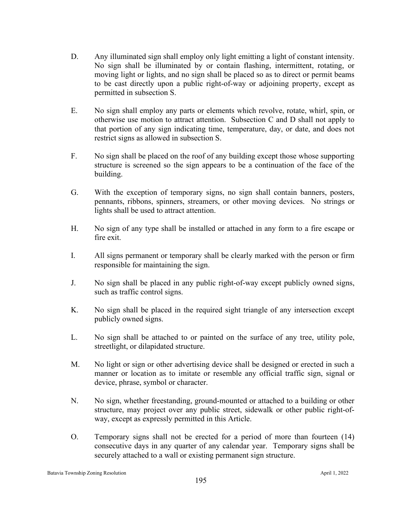- D. Any illuminated sign shall employ only light emitting a light of constant intensity. No sign shall be illuminated by or contain flashing, intermittent, rotating, or moving light or lights, and no sign shall be placed so as to direct or permit beams to be cast directly upon a public right-of-way or adjoining property, except as permitted in subsection S.
- E. No sign shall employ any parts or elements which revolve, rotate, whirl, spin, or otherwise use motion to attract attention. Subsection C and D shall not apply to that portion of any sign indicating time, temperature, day, or date, and does not restrict signs as allowed in subsection S.
- F. No sign shall be placed on the roof of any building except those whose supporting structure is screened so the sign appears to be a continuation of the face of the building.
- G. With the exception of temporary signs, no sign shall contain banners, posters, pennants, ribbons, spinners, streamers, or other moving devices. No strings or lights shall be used to attract attention.
- H. No sign of any type shall be installed or attached in any form to a fire escape or fire exit.
- I. All signs permanent or temporary shall be clearly marked with the person or firm responsible for maintaining the sign.
- J. No sign shall be placed in any public right-of-way except publicly owned signs, such as traffic control signs.
- K. No sign shall be placed in the required sight triangle of any intersection except publicly owned signs.
- L. No sign shall be attached to or painted on the surface of any tree, utility pole, streetlight, or dilapidated structure.
- M. No light or sign or other advertising device shall be designed or erected in such a manner or location as to imitate or resemble any official traffic sign, signal or device, phrase, symbol or character.
- N. No sign, whether freestanding, ground-mounted or attached to a building or other structure, may project over any public street, sidewalk or other public right-ofway, except as expressly permitted in this Article.
- O. Temporary signs shall not be erected for a period of more than fourteen (14) consecutive days in any quarter of any calendar year. Temporary signs shall be securely attached to a wall or existing permanent sign structure.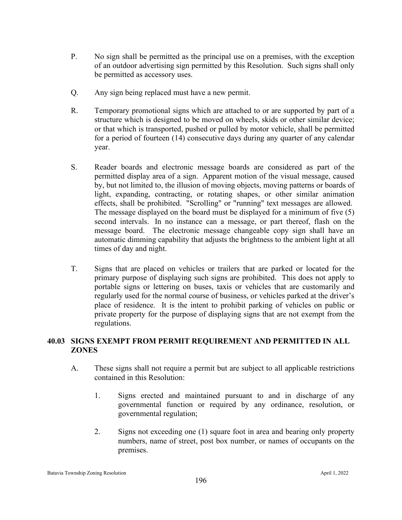- P. No sign shall be permitted as the principal use on a premises, with the exception of an outdoor advertising sign permitted by this Resolution. Such signs shall only be permitted as accessory uses.
- Q. Any sign being replaced must have a new permit.
- R. Temporary promotional signs which are attached to or are supported by part of a structure which is designed to be moved on wheels, skids or other similar device; or that which is transported, pushed or pulled by motor vehicle, shall be permitted for a period of fourteen (14) consecutive days during any quarter of any calendar year.
- S. Reader boards and electronic message boards are considered as part of the permitted display area of a sign. Apparent motion of the visual message, caused by, but not limited to, the illusion of moving objects, moving patterns or boards of light, expanding, contracting, or rotating shapes, or other similar animation effects, shall be prohibited. "Scrolling" or "running" text messages are allowed. The message displayed on the board must be displayed for a minimum of five (5) second intervals. In no instance can a message, or part thereof, flash on the message board. The electronic message changeable copy sign shall have an automatic dimming capability that adjusts the brightness to the ambient light at all times of day and night.
- T. Signs that are placed on vehicles or trailers that are parked or located for the primary purpose of displaying such signs are prohibited. This does not apply to portable signs or lettering on buses, taxis or vehicles that are customarily and regularly used for the normal course of business, or vehicles parked at the driver's place of residence. It is the intent to prohibit parking of vehicles on public or private property for the purpose of displaying signs that are not exempt from the regulations.

# **40.03 SIGNS EXEMPT FROM PERMIT REQUIREMENT AND PERMITTED IN ALL ZONES**

- A. These signs shall not require a permit but are subject to all applicable restrictions contained in this Resolution:
	- 1. Signs erected and maintained pursuant to and in discharge of any governmental function or required by any ordinance, resolution, or governmental regulation;
	- 2. Signs not exceeding one (1) square foot in area and bearing only property numbers, name of street, post box number, or names of occupants on the premises.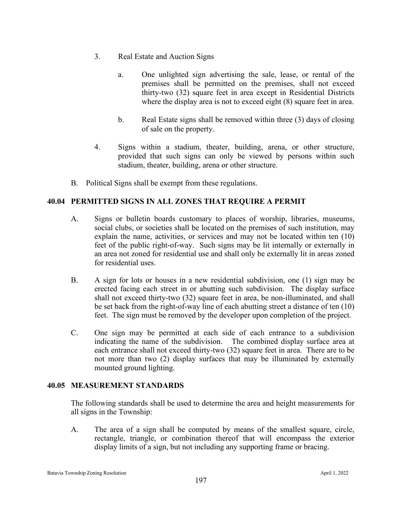- 3. Real Estate and Auction Signs
	- a. One unlighted sign advertising the sale, lease, or rental of the premises shall be permitted on the premises, shall not exceed thirty-two (32) square feet in area except in Residential Districts where the display area is not to exceed eight (8) square feet in area.
	- b. Real Estate signs shall be removed within three (3) days of closing of sale on the property.
- 4. Signs within a stadium, theater, building, arena, or other structure, provided that such signs can only be viewed by persons within such stadium, theater, building, arena or other structure.
- B. Political Signs shall be exempt from these regulations.

# **40.04 PERMITTED SIGNS IN ALL ZONES THAT REQUIRE A PERMIT**

- A. Signs or bulletin boards customary to places of worship, libraries, museums, social clubs, or societies shall be located on the premises of such institution, may explain the name, activities, or services and may not be located within ten (10) feet of the public right-of-way. Such signs may be lit internally or externally in an area not zoned for residential use and shall only be externally lit in areas zoned for residential uses.
- B. A sign for lots or houses in a new residential subdivision, one (1) sign may be erected facing each street in or abutting such subdivision. The display surface shall not exceed thirty-two (32) square feet in area, be non-illuminated, and shall be set back from the right-of-way line of each abutting street a distance of ten (10) feet. The sign must be removed by the developer upon completion of the project.
- C. One sign may be permitted at each side of each entrance to a subdivision indicating the name of the subdivision. The combined display surface area at each entrance shall not exceed thirty-two (32) square feet in area. There are to be not more than two (2) display surfaces that may be illuminated by externally mounted ground lighting.

### **40.05 MEASUREMENT STANDARDS**

The following standards shall be used to determine the area and height measurements for all signs in the Township:

A. The area of a sign shall be computed by means of the smallest square, circle, rectangle, triangle, or combination thereof that will encompass the exterior display limits of a sign, but not including any supporting frame or bracing.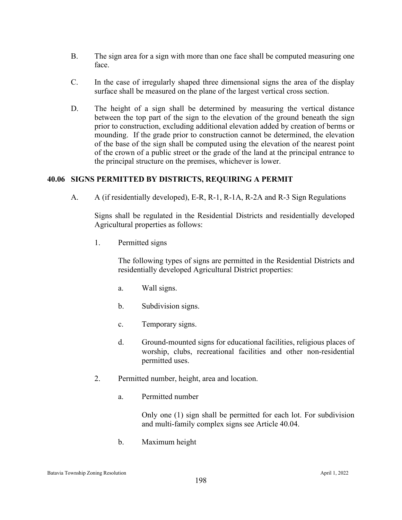- B. The sign area for a sign with more than one face shall be computed measuring one face.
- C. In the case of irregularly shaped three dimensional signs the area of the display surface shall be measured on the plane of the largest vertical cross section.
- D. The height of a sign shall be determined by measuring the vertical distance between the top part of the sign to the elevation of the ground beneath the sign prior to construction, excluding additional elevation added by creation of berms or mounding. If the grade prior to construction cannot be determined, the elevation of the base of the sign shall be computed using the elevation of the nearest point of the crown of a public street or the grade of the land at the principal entrance to the principal structure on the premises, whichever is lower.

# **40.06 SIGNS PERMITTED BY DISTRICTS, REQUIRING A PERMIT**

A. A (if residentially developed), E-R, R-1, R-1A, R-2A and R-3 Sign Regulations

Signs shall be regulated in the Residential Districts and residentially developed Agricultural properties as follows:

1. Permitted signs

The following types of signs are permitted in the Residential Districts and residentially developed Agricultural District properties:

- a. Wall signs.
- b. Subdivision signs.
- c. Temporary signs.
- d. Ground-mounted signs for educational facilities, religious places of worship, clubs, recreational facilities and other non-residential permitted uses.
- 2. Permitted number, height, area and location.
	- a. Permitted number

Only one (1) sign shall be permitted for each lot. For subdivision and multi-family complex signs see Article 40.04.

b. Maximum height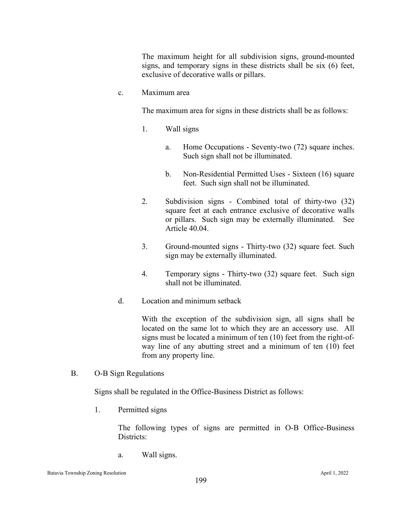The maximum height for all subdivision signs, ground-mounted signs, and temporary signs in these districts shall be six (6) feet, exclusive of decorative walls or pillars.

c. Maximum area

The maximum area for signs in these districts shall be as follows:

- 1. Wall signs
	- a. Home Occupations Seventy-two (72) square inches. Such sign shall not be illuminated.
	- b. Non-Residential Permitted Uses Sixteen (16) square feet. Such sign shall not be illuminated.
- 2. Subdivision signs Combined total of thirty-two (32) square feet at each entrance exclusive of decorative walls or pillars. Such sign may be externally illuminated. See Article 40.04.
- 3. Ground-mounted signs Thirty-two (32) square feet. Such sign may be externally illuminated.
- 4. Temporary signs Thirty-two (32) square feet. Such sign shall not be illuminated.
- d. Location and minimum setback

With the exception of the subdivision sign, all signs shall be located on the same lot to which they are an accessory use. All signs must be located a minimum of ten (10) feet from the right-ofway line of any abutting street and a minimum of ten (10) feet from any property line.

B. O-B Sign Regulations

Signs shall be regulated in the Office-Business District as follows:

1. Permitted signs

The following types of signs are permitted in O-B Office-Business Districts:

a. Wall signs.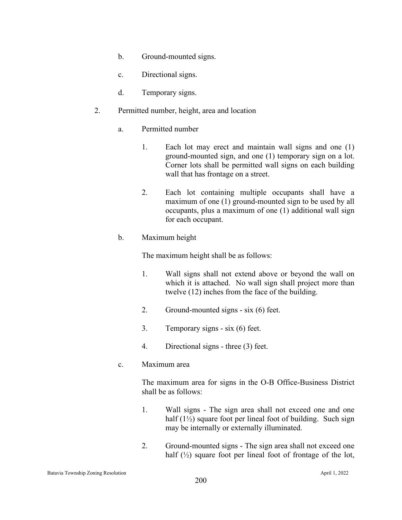- b. Ground-mounted signs.
- c. Directional signs.
- d. Temporary signs.
- 2. Permitted number, height, area and location
	- a. Permitted number
		- 1. Each lot may erect and maintain wall signs and one (1) ground-mounted sign, and one (1) temporary sign on a lot. Corner lots shall be permitted wall signs on each building wall that has frontage on a street.
		- 2. Each lot containing multiple occupants shall have a maximum of one (1) ground-mounted sign to be used by all occupants, plus a maximum of one (1) additional wall sign for each occupant.
	- b. Maximum height

The maximum height shall be as follows:

- 1. Wall signs shall not extend above or beyond the wall on which it is attached. No wall sign shall project more than twelve (12) inches from the face of the building.
- 2. Ground-mounted signs six (6) feet.
- 3. Temporary signs six (6) feet.
- 4. Directional signs three (3) feet.
- c. Maximum area

The maximum area for signs in the O-B Office-Business District shall be as follows:

- 1. Wall signs The sign area shall not exceed one and one half (1½) square foot per lineal foot of building. Such sign may be internally or externally illuminated.
- 2. Ground-mounted signs The sign area shall not exceed one half  $(\frac{1}{2})$  square foot per lineal foot of frontage of the lot,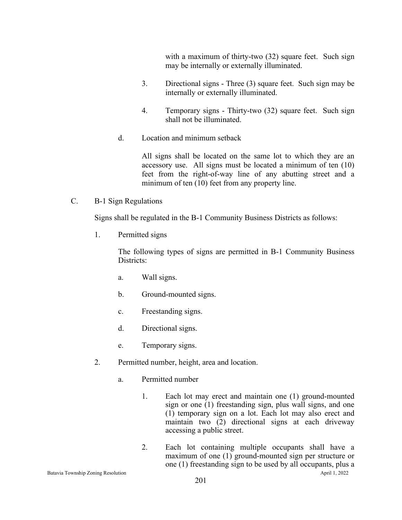with a maximum of thirty-two (32) square feet. Such sign may be internally or externally illuminated.

- 3. Directional signs Three (3) square feet. Such sign may be internally or externally illuminated.
- 4. Temporary signs Thirty-two (32) square feet. Such sign shall not be illuminated.
- d. Location and minimum setback

All signs shall be located on the same lot to which they are an accessory use. All signs must be located a minimum of ten (10) feet from the right-of-way line of any abutting street and a minimum of ten (10) feet from any property line.

C. B-1 Sign Regulations

Signs shall be regulated in the B-1 Community Business Districts as follows:

1. Permitted signs

The following types of signs are permitted in B-1 Community Business Districts:

- a. Wall signs.
- b. Ground-mounted signs.
- c. Freestanding signs.
- d. Directional signs.
- e. Temporary signs.
- 2. Permitted number, height, area and location.
	- a. Permitted number
		- 1. Each lot may erect and maintain one (1) ground-mounted sign or one (1) freestanding sign, plus wall signs, and one (1) temporary sign on a lot. Each lot may also erect and maintain two (2) directional signs at each driveway accessing a public street.
- Batavia Township Zoning Resolution April 1, 2022 2. Each lot containing multiple occupants shall have a maximum of one (1) ground-mounted sign per structure or one (1) freestanding sign to be used by all occupants, plus a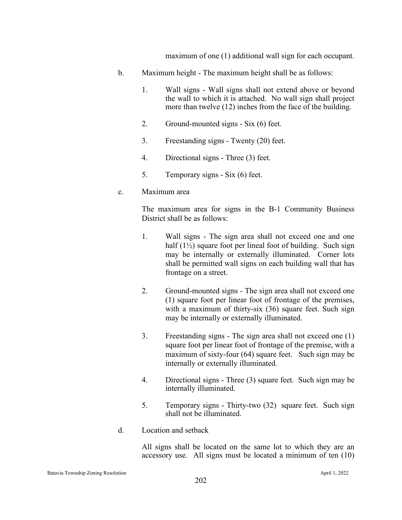maximum of one (1) additional wall sign for each occupant.

- b. Maximum height The maximum height shall be as follows:
	- 1. Wall signs Wall signs shall not extend above or beyond the wall to which it is attached. No wall sign shall project more than twelve (12) inches from the face of the building.
	- 2. Ground-mounted signs Six (6) feet.
	- 3. Freestanding signs Twenty (20) feet.
	- 4. Directional signs Three (3) feet.
	- 5. Temporary signs Six (6) feet.
- c. Maximum area

The maximum area for signs in the B-1 Community Business District shall be as follows:

- 1. Wall signs The sign area shall not exceed one and one half  $(1\frac{1}{2})$  square foot per lineal foot of building. Such sign may be internally or externally illuminated. Corner lots shall be permitted wall signs on each building wall that has frontage on a street.
- 2. Ground-mounted signs The sign area shall not exceed one (1) square foot per linear foot of frontage of the premises, with a maximum of thirty-six (36) square feet. Such sign may be internally or externally illuminated.
- 3. Freestanding signs The sign area shall not exceed one (1) square foot per linear foot of frontage of the premise, with a maximum of sixty-four (64) square feet. Such sign may be internally or externally illuminated.
- 4. Directional signs Three (3) square feet. Such sign may be internally illuminated.
- 5. Temporary signs Thirty-two (32) square feet. Such sign shall not be illuminated.
- d. Location and setback

All signs shall be located on the same lot to which they are an accessory use. All signs must be located a minimum of ten (10)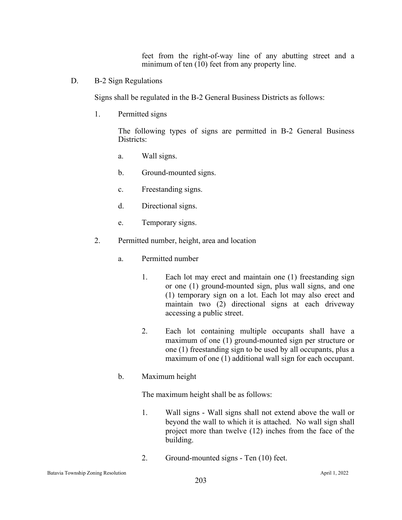feet from the right-of-way line of any abutting street and a minimum of ten (10) feet from any property line.

D. B-2 Sign Regulations

Signs shall be regulated in the B-2 General Business Districts as follows:

1. Permitted signs

The following types of signs are permitted in B-2 General Business Districts:

- a. Wall signs.
- b. Ground-mounted signs.
- c. Freestanding signs.
- d. Directional signs.
- e. Temporary signs.
- 2. Permitted number, height, area and location
	- a. Permitted number
		- 1. Each lot may erect and maintain one (1) freestanding sign or one (1) ground-mounted sign, plus wall signs, and one (1) temporary sign on a lot. Each lot may also erect and maintain two (2) directional signs at each driveway accessing a public street.
		- 2. Each lot containing multiple occupants shall have a maximum of one (1) ground-mounted sign per structure or one (1) freestanding sign to be used by all occupants, plus a maximum of one (1) additional wall sign for each occupant.
	- b. Maximum height

The maximum height shall be as follows:

- 1. Wall signs Wall signs shall not extend above the wall or beyond the wall to which it is attached. No wall sign shall project more than twelve (12) inches from the face of the building.
- 2. Ground-mounted signs Ten (10) feet.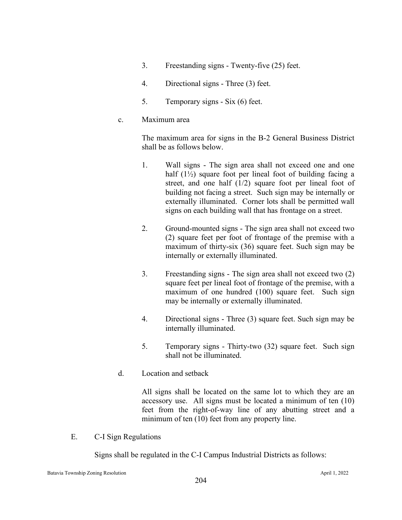- 3. Freestanding signs Twenty-five (25) feet.
- 4. Directional signs Three (3) feet.
- 5. Temporary signs Six (6) feet.
- c. Maximum area

The maximum area for signs in the B-2 General Business District shall be as follows below.

- 1. Wall signs The sign area shall not exceed one and one half (1½) square foot per lineal foot of building facing a street, and one half (1/2) square foot per lineal foot of building not facing a street. Such sign may be internally or externally illuminated. Corner lots shall be permitted wall signs on each building wall that has frontage on a street.
- 2. Ground-mounted signs The sign area shall not exceed two (2) square feet per foot of frontage of the premise with a maximum of thirty-six (36) square feet. Such sign may be internally or externally illuminated.
- 3. Freestanding signs The sign area shall not exceed two (2) square feet per lineal foot of frontage of the premise, with a maximum of one hundred (100) square feet. Such sign may be internally or externally illuminated.
- 4. Directional signs Three (3) square feet. Such sign may be internally illuminated.
- 5. Temporary signs Thirty-two (32) square feet. Such sign shall not be illuminated.
- d. Location and setback

All signs shall be located on the same lot to which they are an accessory use. All signs must be located a minimum of ten (10) feet from the right-of-way line of any abutting street and a minimum of ten (10) feet from any property line.

E. C-I Sign Regulations

Signs shall be regulated in the C-I Campus Industrial Districts as follows: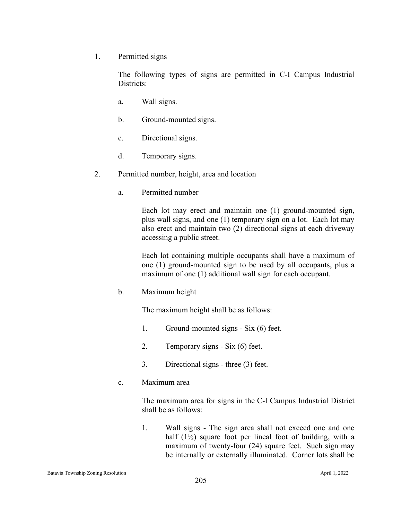1. Permitted signs

The following types of signs are permitted in C-I Campus Industrial Districts:

- a. Wall signs.
- b. Ground-mounted signs.
- c. Directional signs.
- d. Temporary signs.
- 2. Permitted number, height, area and location
	- a. Permitted number

Each lot may erect and maintain one (1) ground-mounted sign, plus wall signs, and one (1) temporary sign on a lot. Each lot may also erect and maintain two (2) directional signs at each driveway accessing a public street.

Each lot containing multiple occupants shall have a maximum of one (1) ground-mounted sign to be used by all occupants, plus a maximum of one (1) additional wall sign for each occupant.

b. Maximum height

The maximum height shall be as follows:

- 1. Ground-mounted signs Six (6) feet.
- 2. Temporary signs Six (6) feet.
- 3. Directional signs three (3) feet.
- c. Maximum area

The maximum area for signs in the C-I Campus Industrial District shall be as follows:

1. Wall signs - The sign area shall not exceed one and one half  $(1\frac{1}{2})$  square foot per lineal foot of building, with a maximum of twenty-four (24) square feet. Such sign may be internally or externally illuminated. Corner lots shall be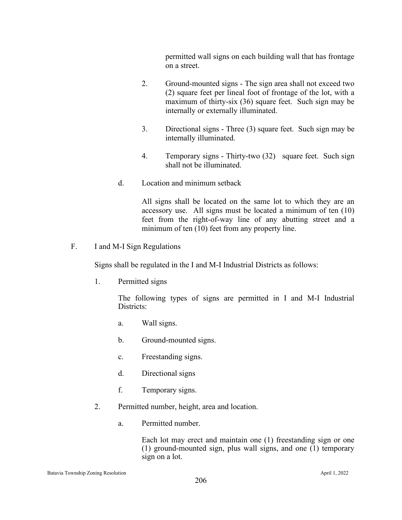permitted wall signs on each building wall that has frontage on a street.

- 2. Ground-mounted signs The sign area shall not exceed two (2) square feet per lineal foot of frontage of the lot, with a maximum of thirty-six (36) square feet. Such sign may be internally or externally illuminated.
- 3. Directional signs Three (3) square feet. Such sign may be internally illuminated.
- 4. Temporary signs Thirty-two (32) square feet. Such sign shall not be illuminated.
- d. Location and minimum setback

All signs shall be located on the same lot to which they are an accessory use. All signs must be located a minimum of ten (10) feet from the right-of-way line of any abutting street and a minimum of ten (10) feet from any property line.

F. I and M-I Sign Regulations

Signs shall be regulated in the I and M-I Industrial Districts as follows:

1. Permitted signs

The following types of signs are permitted in I and M-I Industrial Districts:

- a. Wall signs.
- b. Ground-mounted signs.
- c. Freestanding signs.
- d. Directional signs
- f. Temporary signs.
- 2. Permitted number, height, area and location.
	- a. Permitted number.

Each lot may erect and maintain one (1) freestanding sign or one (1) ground-mounted sign, plus wall signs, and one (1) temporary sign on a lot.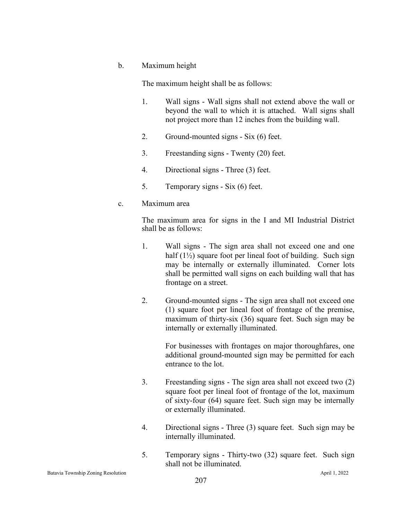#### b. Maximum height

The maximum height shall be as follows:

- 1. Wall signs Wall signs shall not extend above the wall or beyond the wall to which it is attached. Wall signs shall not project more than 12 inches from the building wall.
- 2. Ground-mounted signs Six (6) feet.
- 3. Freestanding signs Twenty (20) feet.
- 4. Directional signs Three (3) feet.
- 5. Temporary signs Six (6) feet.

#### c. Maximum area

The maximum area for signs in the I and MI Industrial District shall be as follows:

- 1. Wall signs The sign area shall not exceed one and one half  $(1\frac{1}{2})$  square foot per lineal foot of building. Such sign may be internally or externally illuminated. Corner lots shall be permitted wall signs on each building wall that has frontage on a street.
- 2. Ground-mounted signs The sign area shall not exceed one (1) square foot per lineal foot of frontage of the premise, maximum of thirty-six (36) square feet. Such sign may be internally or externally illuminated.

For businesses with frontages on major thoroughfares, one additional ground-mounted sign may be permitted for each entrance to the lot.

- 3. Freestanding signs The sign area shall not exceed two (2) square foot per lineal foot of frontage of the lot, maximum of sixty-four (64) square feet. Such sign may be internally or externally illuminated.
- 4. Directional signs Three (3) square feet. Such sign may be internally illuminated.
- 5. Temporary signs Thirty-two (32) square feet. Such sign shall not be illuminated.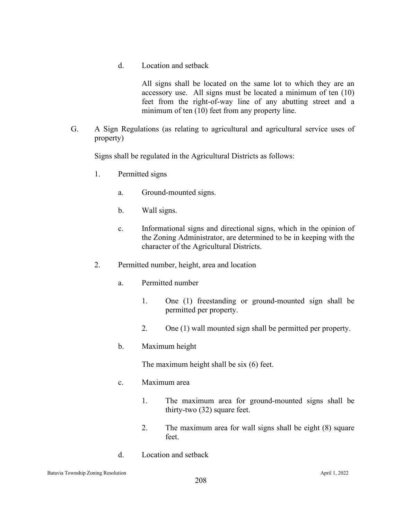d. Location and setback

All signs shall be located on the same lot to which they are an accessory use. All signs must be located a minimum of ten (10) feet from the right-of-way line of any abutting street and a minimum of ten (10) feet from any property line.

G. A Sign Regulations (as relating to agricultural and agricultural service uses of property)

Signs shall be regulated in the Agricultural Districts as follows:

- 1. Permitted signs
	- a. Ground-mounted signs.
	- b. Wall signs.
	- c. Informational signs and directional signs, which in the opinion of the Zoning Administrator, are determined to be in keeping with the character of the Agricultural Districts.
- 2. Permitted number, height, area and location
	- a. Permitted number
		- 1. One (1) freestanding or ground-mounted sign shall be permitted per property.
		- 2. One (1) wall mounted sign shall be permitted per property.
	- b. Maximum height

The maximum height shall be six (6) feet.

- c. Maximum area
	- 1. The maximum area for ground-mounted signs shall be thirty-two (32) square feet.
	- 2. The maximum area for wall signs shall be eight (8) square feet.
- d. Location and setback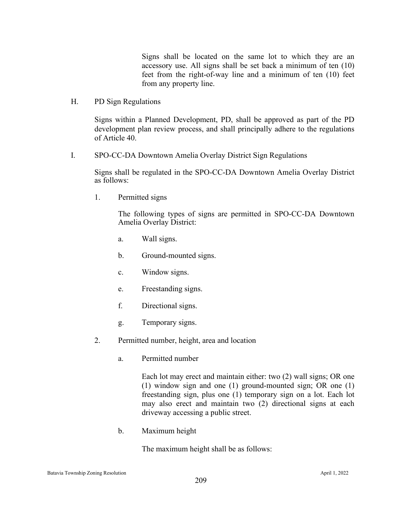Signs shall be located on the same lot to which they are an accessory use. All signs shall be set back a minimum of ten (10) feet from the right-of-way line and a minimum of ten (10) feet from any property line.

H. PD Sign Regulations

Signs within a Planned Development, PD, shall be approved as part of the PD development plan review process, and shall principally adhere to the regulations of Article 40.

I. SPO-CC-DA Downtown Amelia Overlay District Sign Regulations

Signs shall be regulated in the SPO-CC-DA Downtown Amelia Overlay District as follows:

1. Permitted signs

The following types of signs are permitted in SPO-CC-DA Downtown Amelia Overlay District:

- a. Wall signs.
- b. Ground-mounted signs.
- c. Window signs.
- e. Freestanding signs.
- f. Directional signs.
- g. Temporary signs.
- 2. Permitted number, height, area and location
	- a. Permitted number

Each lot may erect and maintain either: two (2) wall signs; OR one (1) window sign and one (1) ground-mounted sign; OR one (1) freestanding sign, plus one (1) temporary sign on a lot. Each lot may also erect and maintain two (2) directional signs at each driveway accessing a public street.

b. Maximum height

The maximum height shall be as follows: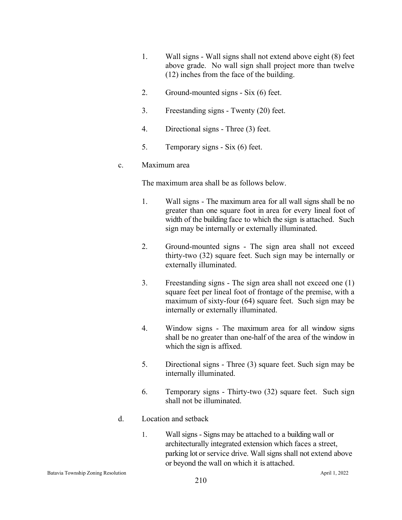- 1. Wall signs Wall signs shall not extend above eight (8) feet above grade. No wall sign shall project more than twelve (12) inches from the face of the building.
- 2. Ground-mounted signs Six (6) feet.
- 3. Freestanding signs Twenty (20) feet.
- 4. Directional signs Three (3) feet.
- 5. Temporary signs Six (6) feet.

### c. Maximum area

The maximum area shall be as follows below.

- 1. Wall signs The maximum area for all wall signs shall be no greater than one square foot in area for every lineal foot of width of the building face to which the sign is attached. Such sign may be internally or externally illuminated.
- 2. Ground-mounted signs The sign area shall not exceed thirty-two (32) square feet. Such sign may be internally or externally illuminated.
- 3. Freestanding signs The sign area shall not exceed one (1) square feet per lineal foot of frontage of the premise, with a maximum of sixty-four (64) square feet. Such sign may be internally or externally illuminated.
- 4. Window signs The maximum area for all window signs shall be no greater than one-half of the area of the window in which the sign is affixed.
- 5. Directional signs Three (3) square feet. Such sign may be internally illuminated.
- 6. Temporary signs Thirty-two (32) square feet. Such sign shall not be illuminated.
- d. Location and setback
	- 1. Wall signs Signs may be attached to a building wall or architecturally integrated extension which faces a street, parking lot or service drive. Wall signs shall not extend above or beyond the wall on which it is attached.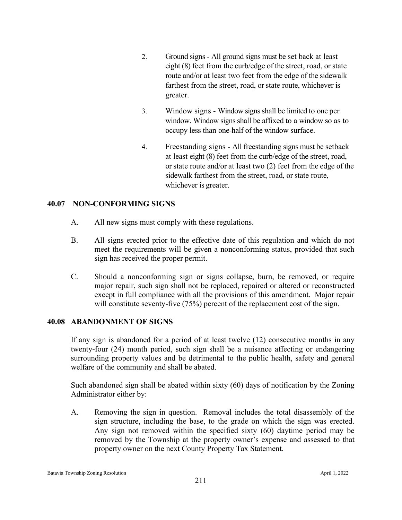- 2. Ground signs All ground signs must be set back at least eight (8) feet from the curb/edge of the street, road, or state route and/or at least two feet from the edge of the sidewalk farthest from the street, road, or state route, whichever is greater.
- 3. Window signs Window signs shall be limited to one per window. Window signs shall be affixed to a window so as to occupy less than one-half of the window surface.
- 4. Freestanding signs All freestanding signs must be setback at least eight (8) feet from the curb/edge of the street, road, or state route and/or at least two (2) feet from the edge of the sidewalk farthest from the street, road, or state route, whichever is greater.

# **40.07 NON-CONFORMING SIGNS**

- A. All new signs must comply with these regulations.
- B. All signs erected prior to the effective date of this regulation and which do not meet the requirements will be given a nonconforming status, provided that such sign has received the proper permit.
- C. Should a nonconforming sign or signs collapse, burn, be removed, or require major repair, such sign shall not be replaced, repaired or altered or reconstructed except in full compliance with all the provisions of this amendment. Major repair will constitute seventy-five (75%) percent of the replacement cost of the sign.

### **40.08 ABANDONMENT OF SIGNS**

If any sign is abandoned for a period of at least twelve (12) consecutive months in any twenty-four (24) month period, such sign shall be a nuisance affecting or endangering surrounding property values and be detrimental to the public health, safety and general welfare of the community and shall be abated.

Such abandoned sign shall be abated within sixty (60) days of notification by the Zoning Administrator either by:

A. Removing the sign in question. Removal includes the total disassembly of the sign structure, including the base, to the grade on which the sign was erected. Any sign not removed within the specified sixty (60) daytime period may be removed by the Township at the property owner's expense and assessed to that property owner on the next County Property Tax Statement.

Batavia Township Zoning Resolution and the state of the state of the state of the April 1, 2022